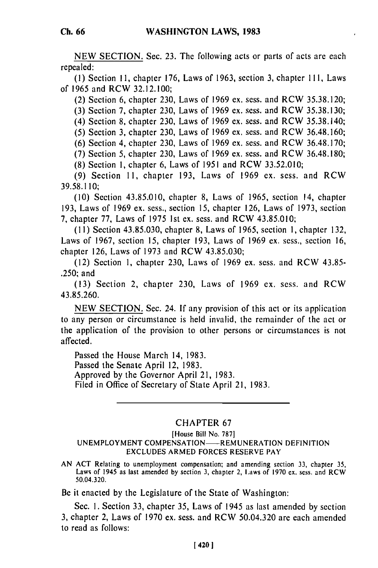NEW SECTION. Sec. **23.** The following acts or parts of acts are each repealed:

**(1)** Section **11,** chapter 176, Laws of 1963, section 3, chapter 1II, Laws of 1965 and RCW 32.12.100;

(2) Section 6, chapter 230, Laws of 1969 ex. sess. and RCW 35.38.120;

(3) Section 7, chapter 230, Laws of 1969 ex. sess. and RCW 35.38.130;

(4) Section **8,** chapter 230, Laws of 1969 ex. sess. and RCW 35.38.140;

(5) Section 3, chapter 230, Laws of 1969 ex. sess. and RCW 36,48.160;

(6) Section 4, chapter 230, Laws of 1969 ex. sess. and RCW 36.48.170;

(7) Section 5, chapter 230, Laws of 1969 ex. sess. and RCW 36.48.180;

(8) Section **1,** chapter 6, Laws of 1951 and RCW 33.52.010;

(9) Section 11, chapter 193, Laws of 1969 ex. sess. and RCW 39.58.110;

(10) Section 43.85.010, chapter 8, Laws of 1965, section 14, chapter 193, Laws of 1969 ex. sess., section 15, chapter 126, Laws of 1973, section 7, chapter 77, Laws of 1975 1st ex. sess. and RCW 43.85.010;

(11) Section 43.85.030, chapter 8, Laws of 1965, section **1,** chapter 132, Laws of 1967, section 15, chapter 193, Laws of 1969 ex. sess., section 16, chapter 126, Laws of 1973 and RCW 43.85.030;

(12) Section i, chapter 230, Laws of 1969 ex. sess. and RCW 43.85- .250; and

(13) Section 2, chapter 230, Laws of 1969 ex. sess. and RCW 43.85.260.

NEW SECTION. Sec. 24. If any provision of this act or its application to any person or circumstance is held invalid, the remainder of the act or the application of the provision to other persons or circumstances is not affected.

Passed the House March 14, 1983. Passed the Senate April 12, 1983. Approved by the Governor April 21, 1983. Filed in Office of Secretary of State April 21, 1983.

## CHAPTER 67

[House Bill No. 787]

## UNEMPLOYMENT COMPENSATION-REMUNERATION DEFINITION EXCLUDES ARMED FORCES RESERVE PAY

AN ACT Relating to unemployment compensation; and amending section **33,** chapter 35, ACT Relating to unemployment compensation; and amending section 33, chapter 33. Laws of 1945 as last amended by section 3, chapter 2, Laws of 1970 ex. sess. and RCW  $50.04.320$ .

Be it enacted by the Legislature of the State of Washington:

Sec. **1.** Section 33, chapter 35, Laws of 1945 as last amended by section 3, chapter 2, Laws of 1970 ex. sess. and RCW 50.04.320 are each amended to read as follows: